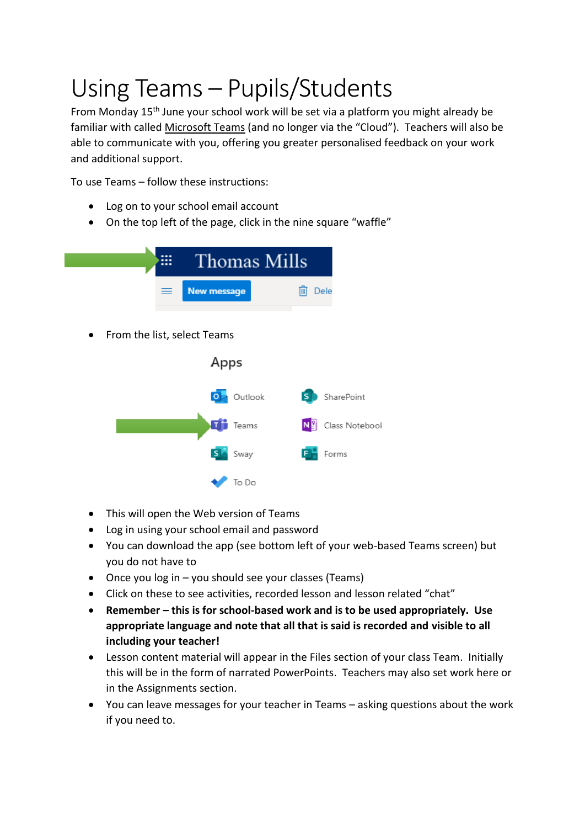## Using Teams – Pupils/Students

From Monday 15<sup>th</sup> June your school work will be set via a platform you might already be familiar with called Microsoft Teams (and no longer via the "Cloud"). Teachers will also be able to communicate with you, offering you greater personalised feedback on your work and additional support.

To use Teams – follow these instructions:

- Log on to your school email account
- On the top left of the page, click in the nine square "waffle"



- This will open the Web version of Teams
- Log in using your school email and password
- You can download the app (see bottom left of your web-based Teams screen) but you do not have to
- Once you log in you should see your classes (Teams)
- Click on these to see activities, recorded lesson and lesson related "chat"
- **Remember – this is for school-based work and is to be used appropriately. Use appropriate language and note that all that is said is recorded and visible to all including your teacher!**
- Lesson content material will appear in the Files section of your class Team. Initially this will be in the form of narrated PowerPoints. Teachers may also set work here or in the Assignments section.
- You can leave messages for your teacher in Teams asking questions about the work if you need to.